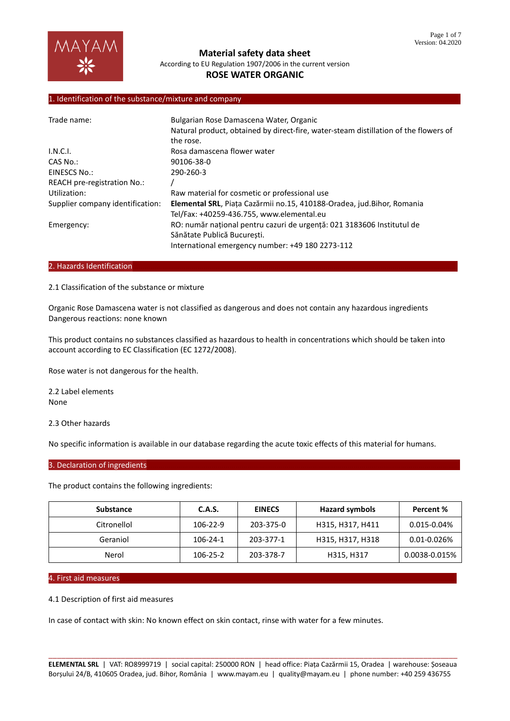

**Material safety data sheet**

According to EU Regulation 1907/2006 in the current version

# **ROSE WATER ORGANIC**

## 1. Identification of the substance/mixture and company

| Trade name:                      | Bulgarian Rose Damascena Water, Organic<br>Natural product, obtained by direct-fire, water-steam distillation of the flowers of                           |
|----------------------------------|-----------------------------------------------------------------------------------------------------------------------------------------------------------|
|                                  | the rose.                                                                                                                                                 |
| I.N.C.I.                         | Rosa damascena flower water                                                                                                                               |
| CAS No.:                         | 90106-38-0                                                                                                                                                |
| EINESCS No.:                     | 290-260-3                                                                                                                                                 |
| REACH pre-registration No.:      |                                                                                                                                                           |
| Utilization:                     | Raw material for cosmetic or professional use                                                                                                             |
| Supplier company identification: | Elemental SRL, Piața Cazărmii no.15, 410188-Oradea, jud.Bihor, Romania<br>Tel/Fax: +40259-436.755, www.elemental.eu                                       |
| Emergency:                       | RO: număr național pentru cazuri de urgență: 021 3183606 Institutul de<br>Sănătate Publică București.<br>International emergency number: +49 180 2273-112 |

#### 2. Hazards Identification

2.1 Classification of the substance or mixture

Organic Rose Damascena water is not classified as dangerous and does not contain any hazardous ingredients Dangerous reactions: none known

This product contains no substances classified as hazardous to health in concentrations which should be taken into account according to EC Classification (EC 1272/2008).

Rose water is not dangerous for the health.

2.2 Label elements None

2.3 Other hazards

No specific information is available in our database regarding the acute toxic effects of this material for humans.

#### 3. Declaration of ingredients

The product contains the following ingredients:

| <b>Substance</b> | C.A.S.   | <b>EINECS</b> | <b>Hazard symbols</b> | Percent %        |
|------------------|----------|---------------|-----------------------|------------------|
| Citronellol      | 106-22-9 | 203-375-0     | H315, H317, H411      | $0.015 - 0.04\%$ |
| Geraniol         | 106-24-1 | 203-377-1     | H315, H317, H318      | 0.01-0.026%      |
| Nerol            | 106-25-2 | 203-378-7     | H315, H317            | 0.0038-0.015%    |

#### 4. First aid measures………………………………………………………………………………………………………………………………………………………

4.1 Description of first aid measures

In case of contact with skin: No known effect on skin contact, rinse with water for a few minutes.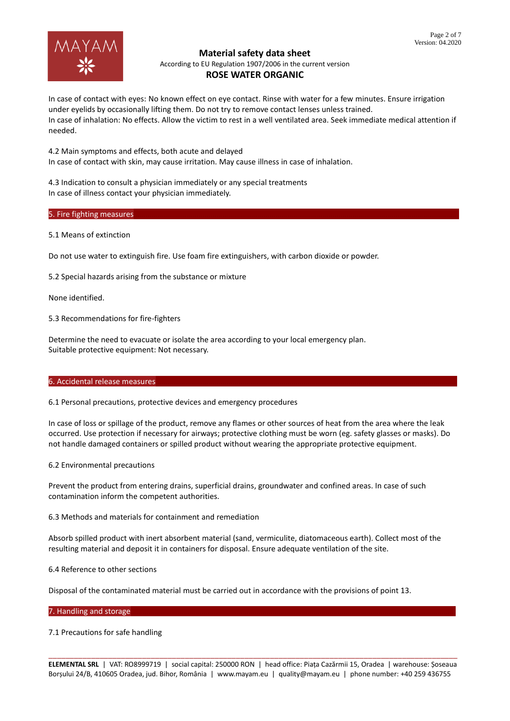# **ROSE WATER ORGANIC**

In case of contact with eyes: No known effect on eye contact. Rinse with water for a few minutes. Ensure irrigation under eyelids by occasionally lifting them. Do not try to remove contact lenses unless trained. In case of inhalation: No effects. Allow the victim to rest in a well ventilated area. Seek immediate medical attention if needed.

4.2 Main symptoms and effects, both acute and delayed In case of contact with skin, may cause irritation. May cause illness in case of inhalation.

4.3 Indication to consult a physician immediately or any special treatments In case of illness contact your physician immediately.

# 5. Fire fighting measures

# 5.1 Means of extinction

Do not use water to extinguish fire. Use foam fire extinguishers, with carbon dioxide or powder.

5.2 Special hazards arising from the substance or mixture

None identified.

5.3 Recommendations for fire-fighters

Determine the need to evacuate or isolate the area according to your local emergency plan. Suitable protective equipment: Not necessary.

## 6. Accidental release measures

6.1 Personal precautions, protective devices and emergency procedures

In case of loss or spillage of the product, remove any flames or other sources of heat from the area where the leak occurred. Use protection if necessary for airways; protective clothing must be worn (eg. safety glasses or masks). Do not handle damaged containers or spilled product without wearing the appropriate protective equipment.

6.2 Environmental precautions

Prevent the product from entering drains, superficial drains, groundwater and confined areas. In case of such contamination inform the competent authorities.

6.3 Methods and materials for containment and remediation

Absorb spilled product with inert absorbent material (sand, vermiculite, diatomaceous earth). Collect most of the resulting material and deposit it in containers for disposal. Ensure adequate ventilation of the site.

6.4 Reference to other sections

Disposal of the contaminated material must be carried out in accordance with the provisions of point 13.

## 7. Handling and storage

7.1 Precautions for safe handling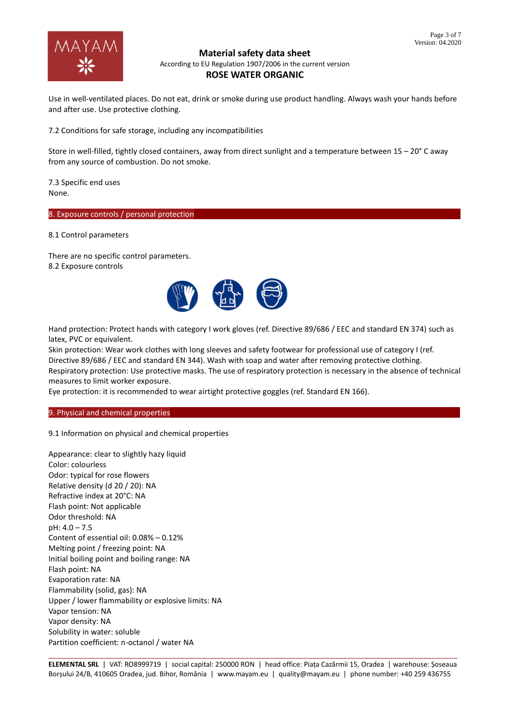

Use in well-ventilated places. Do not eat, drink or smoke during use product handling. Always wash your hands before and after use. Use protective clothing.

7.2 Conditions for safe storage, including any incompatibilities

Store in well-filled, tightly closed containers, away from direct sunlight and a temperature between 15 – 20° C away from any source of combustion. Do not smoke.

7.3 Specific end uses None.

8. Exposure controls / personal protection

8.1 Control parameters

There are no specific control parameters. 8.2 Exposure controls



Hand protection: Protect hands with category I work gloves (ref. Directive 89/686 / EEC and standard EN 374) such as latex, PVC or equivalent.

Skin protection: Wear work clothes with long sleeves and safety footwear for professional use of category I (ref. Directive 89/686 / EEC and standard EN 344). Wash with soap and water after removing protective clothing.

Respiratory protection: Use protective masks. The use of respiratory protection is necessary in the absence of technical measures to limit worker exposure.

Eye protection: it is recommended to wear airtight protective goggles (ref. Standard EN 166).

9. Physical and chemical properties

9.1 Information on physical and chemical properties

Appearance: clear to slightly hazy liquid Color: colourless Odor: typical for rose flowers Relative density (d 20 / 20): NA Refractive index at 20°C: NA Flash point: Not applicable Odor threshold: NA pH: 4.0 – 7.5 Content of essential oil: 0.08% – 0.12% Melting point / freezing point: NA Initial boiling point and boiling range: NA Flash point: NA Evaporation rate: NA Flammability (solid, gas): NA Upper / lower flammability or explosive limits: NA Vapor tension: NA Vapor density: NA Solubility in water: soluble Partition coefficient: n-octanol / water NA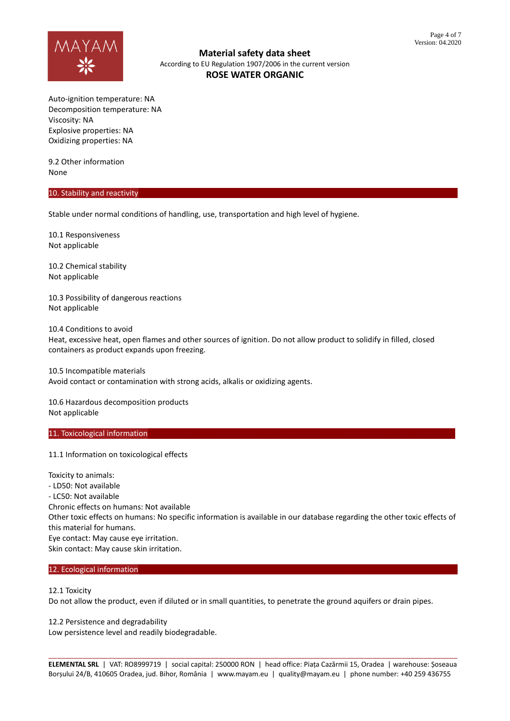

Auto-ignition temperature: NA Decomposition temperature: NA Viscosity: NA Explosive properties: NA Oxidizing properties: NA

9.2 Other information None

#### 10. Stability and reactivity

Stable under normal conditions of handling, use, transportation and high level of hygiene.

10.1 Responsiveness Not applicable

10.2 Chemical stability Not applicable

10.3 Possibility of dangerous reactions Not applicable

10.4 Conditions to avoid Heat, excessive heat, open flames and other sources of ignition. Do not allow product to solidify in filled, closed containers as product expands upon freezing.

10.5 Incompatible materials Avoid contact or contamination with strong acids, alkalis or oxidizing agents.

10.6 Hazardous decomposition products Not applicable

#### 11. Toxicological information

11.1 Information on toxicological effects

Toxicity to animals: - LD50: Not available - LC50: Not available Chronic effects on humans: Not available Other toxic effects on humans: No specific information is available in our database regarding the other toxic effects of this material for humans. Eye contact: May cause eye irritation. Skin contact: May cause skin irritation.

#### 12. Ecological information

12.1 Toxicity

Do not allow the product, even if diluted or in small quantities, to penetrate the ground aquifers or drain pipes.

12.2 Persistence and degradability

Low persistence level and readily biodegradable.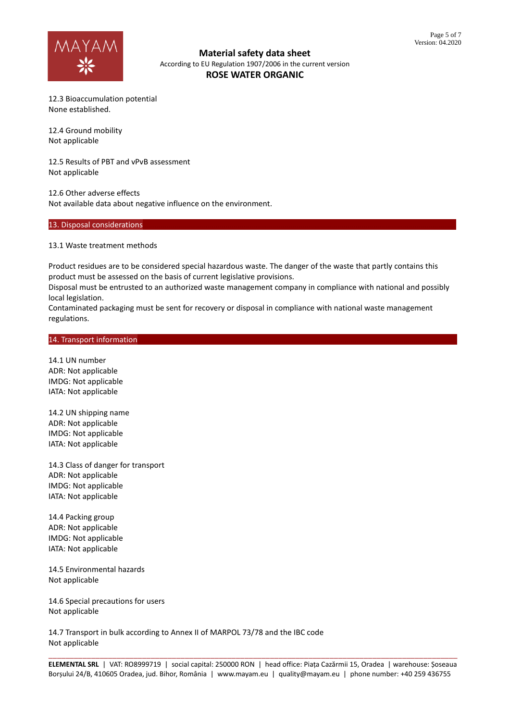

12.3 Bioaccumulation potential None established.

12.4 Ground mobility Not applicable

12.5 Results of PBT and vPvB assessment Not applicable

12.6 Other adverse effects Not available data about negative influence on the environment.

## 13. Disposal considerations

13.1 Waste treatment methods

Product residues are to be considered special hazardous waste. The danger of the waste that partly contains this product must be assessed on the basis of current legislative provisions.

Disposal must be entrusted to an authorized waste management company in compliance with national and possibly local legislation.

Contaminated packaging must be sent for recovery or disposal in compliance with national waste management regulations.

#### 14. Transport information

14.1 UN number ADR: Not applicable IMDG: Not applicable IATA: Not applicable

14.2 UN shipping name ADR: Not applicable IMDG: Not applicable IATA: Not applicable

14.3 Class of danger for transport ADR: Not applicable IMDG: Not applicable IATA: Not applicable

14.4 Packing group ADR: Not applicable IMDG: Not applicable IATA: Not applicable

14.5 Environmental hazards Not applicable

14.6 Special precautions for users Not applicable

14.7 Transport in bulk according to Annex II of MARPOL 73/78 and the IBC code Not applicable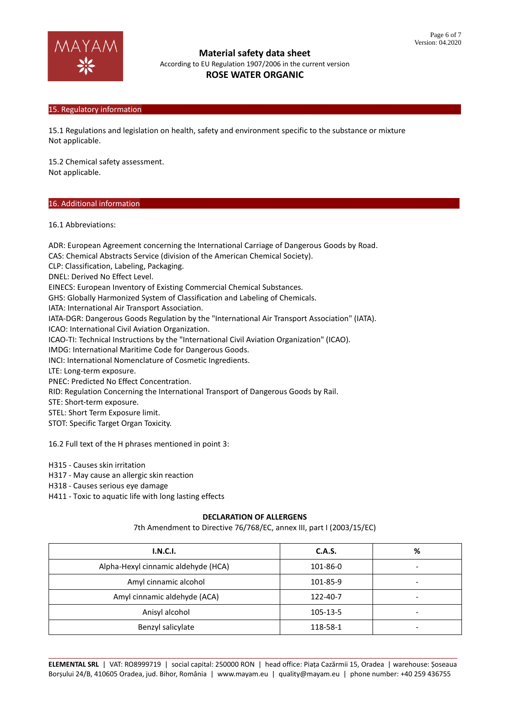

# 15. Regulatory information

15.1 Regulations and legislation on health, safety and environment specific to the substance or mixture Not applicable.

15.2 Chemical safety assessment. Not applicable.

## 16. Additional information

16.1 Abbreviations:

ADR: European Agreement concerning the International Carriage of Dangerous Goods by Road. CAS: Chemical Abstracts Service (division of the American Chemical Society). CLP: Classification, Labeling, Packaging. DNEL: Derived No Effect Level. EINECS: European Inventory of Existing Commercial Chemical Substances. GHS: Globally Harmonized System of Classification and Labeling of Chemicals. IATA: International Air Transport Association. IATA-DGR: Dangerous Goods Regulation by the "International Air Transport Association" (IATA). ICAO: International Civil Aviation Organization. ICAO-TI: Technical Instructions by the "International Civil Aviation Organization" (ICAO). IMDG: International Maritime Code for Dangerous Goods. INCI: International Nomenclature of Cosmetic Ingredients. LTE: Long-term exposure. PNEC: Predicted No Effect Concentration. RID: Regulation Concerning the International Transport of Dangerous Goods by Rail. STE: Short-term exposure. STEL: Short Term Exposure limit. STOT: Specific Target Organ Toxicity.

16.2 Full text of the H phrases mentioned in point 3:

H315 - Causes skin irritation

H317 - May cause an allergic skin reaction

H318 - Causes serious eye damage

H411 - Toxic to aquatic life with long lasting effects

## **DECLARATION OF ALLERGENS**

7th Amendment to Directive 76/768/EC, annex III, part I (2003/15/EC)

| I.N.C.I.                            | C.A.S.   | % |
|-------------------------------------|----------|---|
| Alpha-Hexyl cinnamic aldehyde (HCA) | 101-86-0 |   |
| Amyl cinnamic alcohol               | 101-85-9 |   |
| Amyl cinnamic aldehyde (ACA)        | 122-40-7 |   |
| Anisyl alcohol                      | 105-13-5 |   |
| Benzyl salicylate                   | 118-58-1 |   |